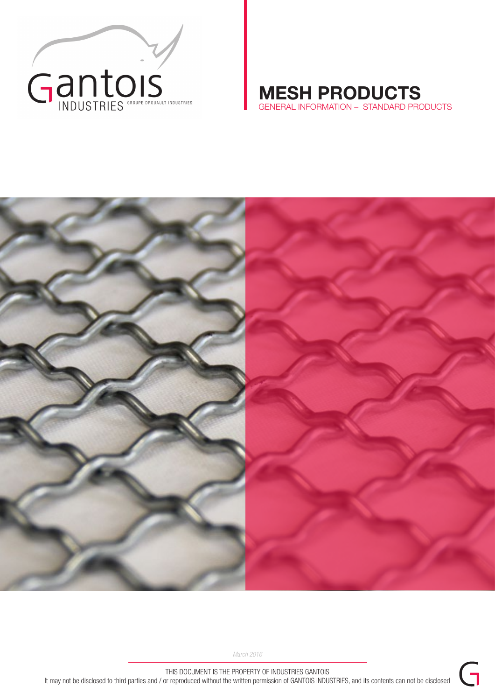

# MESH PRODUCTS GENERAL INFORMATION – STANDARD PRODUCTS



*March 2016*

THIS DOCUMENT IS THE PROPERTY OF INDUSTRIES GANTOIS It may not be disclosed to third parties and / or reproduced without the written permission of GANTOIS INDUSTRIES, and its contents can not be disclosed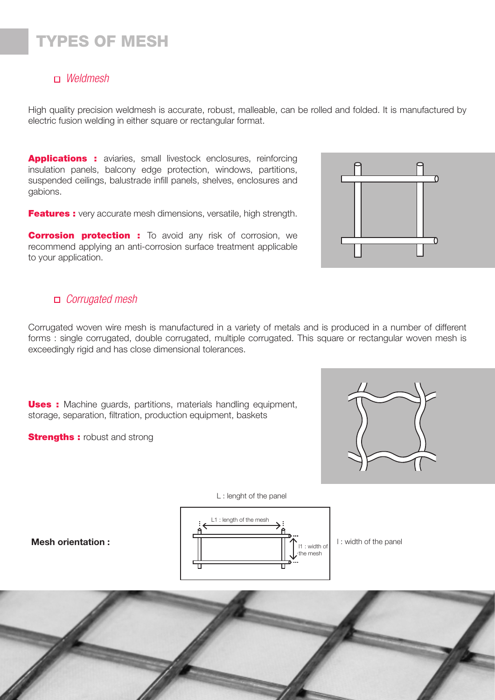# TYPES OF MESH

## *Weldmesh*

High quality precision weldmesh is accurate, robust, malleable, can be rolled and folded. It is manufactured by electric fusion welding in either square or rectangular format.

Applications : aviaries, small livestock enclosures, reinforcing insulation panels, balcony edge protection, windows, partitions, suspended ceilings, balustrade infill panels, shelves, enclosures and gabions.

**Features :** very accurate mesh dimensions, versatile, high strength.

**Corrosion protection :** To avoid any risk of corrosion, we recommend applying an anti-corrosion surface treatment applicable to your application.

# *Corrugated mesh*

Corrugated woven wire mesh is manufactured in a variety of metals and is produced in a number of different forms : single corrugated, double corrugated, multiple corrugated. This square or rectangular woven mesh is exceedingly rigid and has close dimensional tolerances.

**Uses :** Machine guards, partitions, materials handling equipment, storage, separation, filtration, production equipment, baskets

**Strengths:** robust and strong

Mesh orientation :





L : lenght of the panel

I : width of the panel